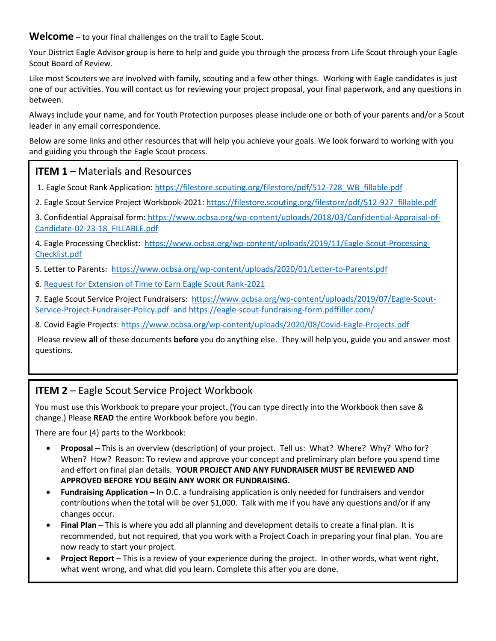**Welcome** – to your final challenges on the trail to Eagle Scout.

Your District Eagle Advisor group is here to help and guide you through the process from Life Scout through your Eagle Scout Board of Review.

Like most Scouters we are involved with family, scouting and a few other things. Working with Eagle candidates is just one of our activities. You will contact us for reviewing your project proposal, your final paperwork, and any questions in between.

Always include your name, and for Youth Protection purposes please include one or both of your parents and/or a Scout leader in any email correspondence.

Below are some links and other resources that will help you achieve your goals. We look forward to working with you and guiding you through the Eagle Scout process.

## **ITEM 1 – Materials and Resources**

1. Eagle Scout Rank Application: [https://filestore.scouting.org/filestore/pdf/512-728\\_WB\\_fillable.pdf](https://filestore.scouting.org/filestore/pdf/512-728_WB_fillable.pdf)

2. Eagle Scout Service Project Workbook-2021[: https://filestore.scouting.org/filestore/pdf/512-927\\_fillable.pdf](https://filestore.scouting.org/filestore/pdf/512-927_fillable.pdf) 

3. Confidential Appraisal form[: https://www.ocbsa.org/wp-content/uploads/2018/03/Confidential-Appraisal-of-](https://www.ocbsa.org/wp-content/uploads/2018/03/Confidential-Appraisal-of-Candidate-02-23-18_FILLABLE.pdf)[Candidate-02-23-18\\_FILLABLE.pdf](https://www.ocbsa.org/wp-content/uploads/2018/03/Confidential-Appraisal-of-Candidate-02-23-18_FILLABLE.pdf)

4. Eagle Processing Checklist: [https://www.ocbsa.org/wp-content/uploads/2019/11/Eagle-Scout-Processing-](https://www.ocbsa.org/wp-content/uploads/2019/11/Eagle-Scout-Processing-Checklist.pdf)[Checklist.pdf](https://www.ocbsa.org/wp-content/uploads/2019/11/Eagle-Scout-Processing-Checklist.pdf)

5. Letter to Parents:<https://www.ocbsa.org/wp-content/uploads/2020/01/Letter-to-Parents.pdf>

6. [Request for Extension of Time to Earn Eagle Scout Rank-2021](https://i9peu1ikn3a16vg4e45rqi17-wpengine.netdna-ssl.com/wp-content/uploads/2020/12/GTA-11.2.0.0-form-2021.pdf)

7. Eagle Scout Service Project Fundraisers: [https://www.ocbsa.org/wp-content/uploads/2019/07/Eagle-Scout-](https://www.ocbsa.org/wp-content/uploads/2019/07/Eagle-Scout-Service-Project-Fundraiser-Policy.pdf)[Service-Project-Fundraiser-Policy.pdf](https://www.ocbsa.org/wp-content/uploads/2019/07/Eagle-Scout-Service-Project-Fundraiser-Policy.pdf) and https://eagle-scout-fundraising-form.pdffiller.com/

8. Covid Eagle Projects[: https://www.ocbsa.org/wp-content/uploads/2020/08/Covid-Eagle-Projects.pdf](https://www.ocbsa.org/wp-content/uploads/2020/08/Covid-Eagle-Projects.pdf)

Please review **all** of these documents **before** you do anything else. They will help you, guide you and answer most questions.

## **ITEM 2** – Eagle Scout Service Project Workbook

You must use this Workbook to prepare your project. (You can type directly into the Workbook then save & change.) Please **READ** the entire Workbook before you begin.

There are four (4) parts to the Workbook:

- **Proposal** This is an overview (description) of your project. Tell us: What? Where? Why? Who for? When? How? Reason: To review and approve your concept and preliminary plan before you spend time and effort on final plan details. **YOUR PROJECT AND ANY FUNDRAISER MUST BE REVIEWED AND APPROVED BEFORE YOU BEGIN ANY WORK OR FUNDRAISING.**
- **Fundraising Application** In O.C. a fundraising application is only needed for fundraisers and vendor contributions when the total will be over \$1,000. Talk with me if you have any questions and/or if any changes occur.
- **Final Plan** This is where you add all planning and development details to create a final plan. It is recommended, but not required, that you work with a Project Coach in preparing your final plan. You are now ready to start your project.
- **Project Report** This is a review of your experience during the project. In other words, what went right, what went wrong, and what did you learn. Complete this after you are done.